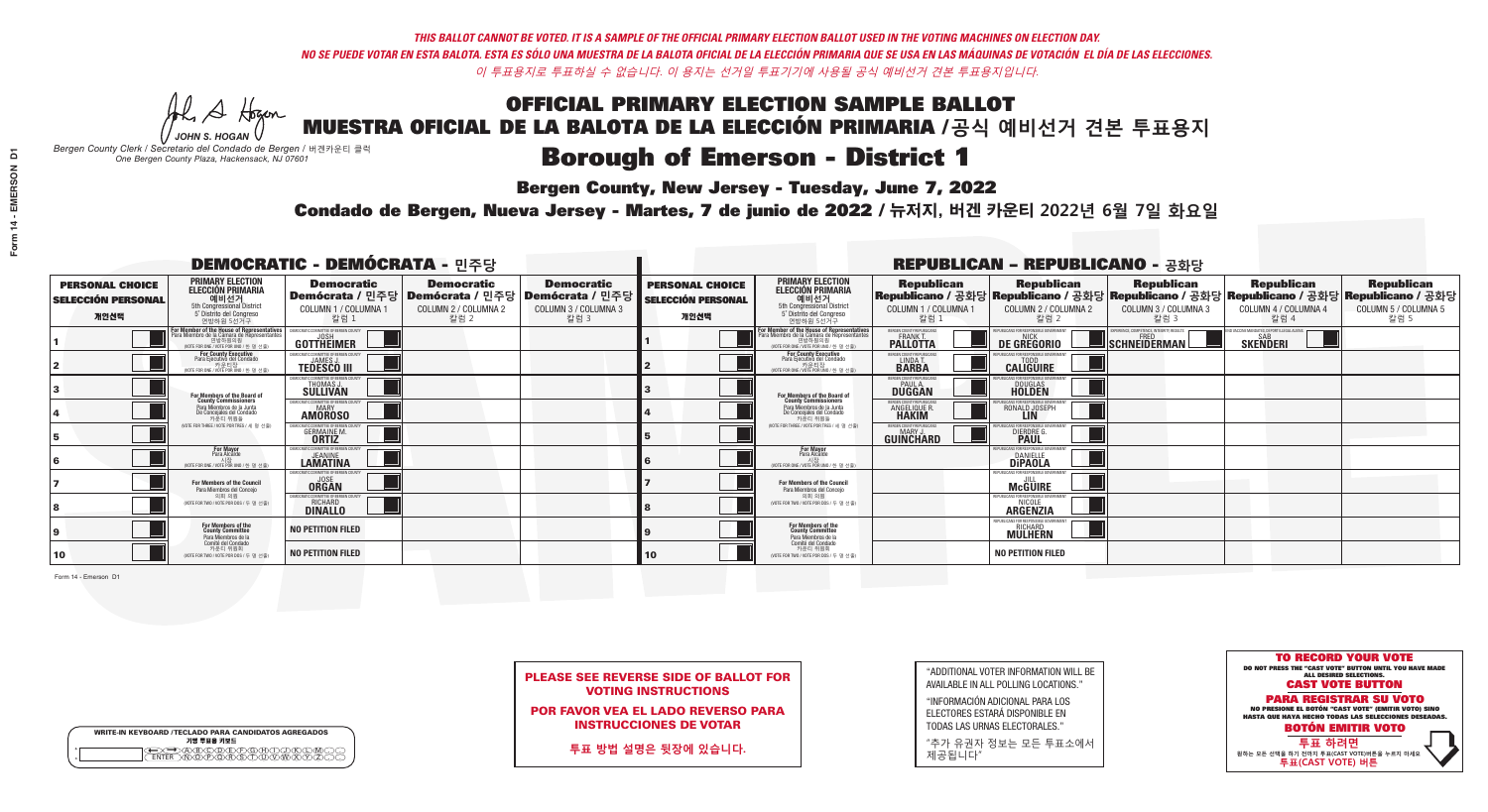A Hogan *JOHN S. HOGAN*

| <b>WRITE-IN KEYBOARD /TECLADO PARA CANDIDATOS AGREGADOS</b><br>기명 투표용 키보드 |  |
|---------------------------------------------------------------------------|--|
|                                                                           |  |

# **Borough of Emerson - District 1**

**Bergen County, New Jersey - Tuesday, June 7, 2022** 

*Bergen County Clerk / Secretario del Condado de Bergen /* 버겐카운티 클럭 *One Bergen County Plaza, Hackensack, NJ 07601*





POR FAVOR VEA EL LADO REVERSO PARA INSTRUCCIONES DE VOTAR

**투표 방법 설명은 뒷장에 있습니다.**

| "ADDITIONAL VOTER INFORMATION WILL BE |
|---------------------------------------|
| AVAILABLE IN ALL POLLING LOCATIONS."  |

"INFORMACIÓN ADICIONAL PARA LOS ELECTORES ESTARÁ DISPONIBLE EN TODAS LAS URNAS ELECTORALES."

"추가 유권자 정보는 모든 투표소에서 제공됩니다"

Condado de Bergen, Nueva Jersey - Martes, 7 de junio de 2022 / 뉴저지, 버겐 카운티 2022년 6월 7일 화요일 *One Bergen County Plaza, Hackensack, NJ 07601*

| <b>DEMOCRATIC - DEMÓCRATA - 민주당</b>                         |                                                                                                                                         |                                                                                                        |                                                   |                                                   |                                                             |                                                                                                                                    |                                                            | <b>REPUBLICAN - REPUBLICANO - 공화당</b>                            |                                                                                                                                                 |                                                               |                                                   |
|-------------------------------------------------------------|-----------------------------------------------------------------------------------------------------------------------------------------|--------------------------------------------------------------------------------------------------------|---------------------------------------------------|---------------------------------------------------|-------------------------------------------------------------|------------------------------------------------------------------------------------------------------------------------------------|------------------------------------------------------------|------------------------------------------------------------------|-------------------------------------------------------------------------------------------------------------------------------------------------|---------------------------------------------------------------|---------------------------------------------------|
| <b>PERSONAL CHOICE</b><br><b>SELECCIÓN PERSONAL</b><br>개인선택 | <b>PRIMARY ELECTION</b><br><b>ELECCIÓN PRIMARIA</b><br>예비선거<br>5th Congressional District<br>5° Distrito del Congreso<br>연방하원 5선거구      | <b>Democratic</b><br>│Demócrata / 민주당│Demócrata / 민주당│Demócrata / 민주당│<br>COLUMN 1 / COLUMNA 1<br>칼럼 1 | <b>Democratic</b><br>COLUMN 2 / COLUMNA 2<br>칼럼 2 | <b>Democratic</b><br>COLUMN 3 / COLUMNA 3<br>칼럼 3 | <b>PERSONAL CHOICE</b><br><b>SELECCIÓN PERSONAL</b><br>개인선택 | <b>PRIMARY ELECTION</b><br>ELECCIÓN PRIMARIA<br>5th Congressional District<br>5° Distrito del Congreso<br>연방하원 5선거구                | <b>Republican</b><br>COLUMN 1 / COLUMNA 1<br>칼럼 :          | <b>Republican</b><br>COLUMN 2 / COLUMNA 2<br>칼럼 2                | <b>Republican</b><br>│Republicano / 공화당│Republicano / 공화당│Republicano / 공화당│Republicano / 공화당│Republicano / 공화당<br>COLUMN 3 / COLUMNA 3<br>칼럼 3 | <b>Republican</b><br>COLUMN 4 / COLUMNA 4<br>칼럼 4             | <b>Republican</b><br>COLUMN 5 / COLUMNA 5<br>칼럼 5 |
|                                                             | or Member of the House of Representatives<br>a Miembro de la Cámara de Representante<br>연방하원의원<br>(VOTE FOR ONE / VOTE POR UNO / 한 명 선출 | DEMOCRATIC COMMITTEE OF BERGEN COUNTY<br>GOTTHEIMER                                                    |                                                   |                                                   |                                                             | For Member of the House of Representatives<br>Para Miembro de la Cámara de Representantes<br>(VOTE FOR ONE / VOTE POR UNO / 한 명 선출 | BERGEN COUNTY REPUBLICANS<br><b>PALLOTTA</b>               | DE GREGORIO                                                      | EXPERIENCE, COMPETENCE, INTEGRITY, RESULTS<br>SCHNEIDERMAN                                                                                      | D VACCINE MANDATES, DEPORT ILLEGAL ALIENS.<br><b>SKENDERI</b> |                                                   |
|                                                             | For County Executive<br>Para Ejecutivo del Condado<br>WOTE FOR ONE / VOTE POR UNO / 한 명 선출)                                             | JEMOCRATIC COMMITTEE OF BERGEN COUNTY<br><b>TEDESCO III</b>                                            |                                                   |                                                   |                                                             | <b>For County Executive</b><br>Para Ejecutivo del Condado<br>WOTE FOR ONE / VOTE POR UNO / 한 명 선출                                  | BERGEN COUNTY REPUBLICAN<br>LINDA T.                       | <b>CALIGUIRE</b>                                                 |                                                                                                                                                 |                                                               |                                                   |
|                                                             | For Members of the Board of<br>County Commissioners                                                                                     | EMOCRATIC COMMITTEE OF BERGEN COUNT<br>THOMAS J.                                                       |                                                   |                                                   |                                                             | For Members of the Board of<br>County Commissioners                                                                                | ERGEN COUNTY REPUBLICAN<br><b>PAUL A.</b><br><b>DUGGAN</b> | <b>DOUGLAS</b><br><b>HOLDEN</b>                                  |                                                                                                                                                 |                                                               |                                                   |
|                                                             | Para Miembros de la Junta<br>De Concejales del Condado<br>카운티 위원들                                                                       | <b>EMOCRATIC COMMITTEE OF BEBGEN COUNTY</b><br><b>AMOROSO</b>                                          |                                                   |                                                   |                                                             | Para Miembros de la Junta<br>De Concejales del Condado<br>카운티 위워들                                                                  | ERGEN COUNTY REPUBLICAN<br><b>ANGELIQUE R<br/>HAKIM</b>    | RONALD JOSEPH<br><b>LIN</b>                                      |                                                                                                                                                 |                                                               |                                                   |
|                                                             | NOTE FOR THREE / VOTE POR TRES / 세 명 선출)                                                                                                | <b>GERMAINE M.</b><br><b>ORTIZ</b>                                                                     |                                                   |                                                   |                                                             | (VOTE FOR THREE / VOTE POR TRES / 세 명 선출)                                                                                          | ERGEN COUNTY REPUBLICANS<br>MARY.<br>GUINCHARD             | <b>DIERDRE G</b><br><b>PAUL</b>                                  |                                                                                                                                                 |                                                               |                                                   |
|                                                             | For Mayor<br>Para Alcalde<br>(VOTE FOR ONE / VOTE POR UNO / 한 명 선출                                                                      | MOCRATIC COMMITTEE OF BERGEN COUNT<br><b>LAMATINA</b>                                                  |                                                   |                                                   |                                                             | For Mayor<br>Para Alcalde<br>(VOTE FOR ONE / VOTE POR UNO / 한 명 선출                                                                 |                                                            | <b>FOR RESPONSIBLE G</b><br><b>DIPAOLA</b>                       |                                                                                                                                                 |                                                               |                                                   |
|                                                             | For Members of the Council<br>Para Miembros del Conceio                                                                                 | <b>EMOCRATIC COMMITTEE OF BERGEN</b><br><b>ORGAN</b>                                                   |                                                   |                                                   |                                                             | For Members of the Council<br>Para Miembros del Concejo                                                                            |                                                            | <b>McGUIRE</b>                                                   |                                                                                                                                                 |                                                               |                                                   |
|                                                             | 의회 의원<br>(VOTE FOR TWO / VOTE POR DOS / 두 명 선출)                                                                                         | RATIC COMMITTEE OF BERGEN COUN'<br>RICHARD<br><b>DINALLO</b>                                           |                                                   |                                                   |                                                             | 의회 의원<br>NOTE FOR TWO / VOTE POR DOS / 두 명 선출)                                                                                     |                                                            | PUBLICANS FOR RESPONSIBLE GOVERNME!<br>NICOLE<br><b>ARGENZIA</b> |                                                                                                                                                 |                                                               |                                                   |
|                                                             | For Members of the<br>County Committee<br>Para Miembros de la                                                                           | <b>NO PETITION FILED</b>                                                                               |                                                   |                                                   |                                                             | For Members of the<br>County Committee<br>Para Miembros de la<br>Comité del Condado                                                |                                                            | PUBLICANS FOR RESPONSIBLE GO<br>RICHARD<br>MÜLHERN               |                                                                                                                                                 |                                                               |                                                   |
| 10                                                          | Comité del Condado<br>카운티 위원회<br>(VOTE FOR TWO / VOTE POR DOS / 두 명 선출)                                                                 | <b>NO PETITION FILED</b>                                                                               |                                                   |                                                   | 10                                                          | 카운티 위원회<br>(VOTE FOR TWO / VOTE POR DOS / 두 명 선출)                                                                                  |                                                            | <b>NO PETITION FILED</b>                                         |                                                                                                                                                 |                                                               |                                                   |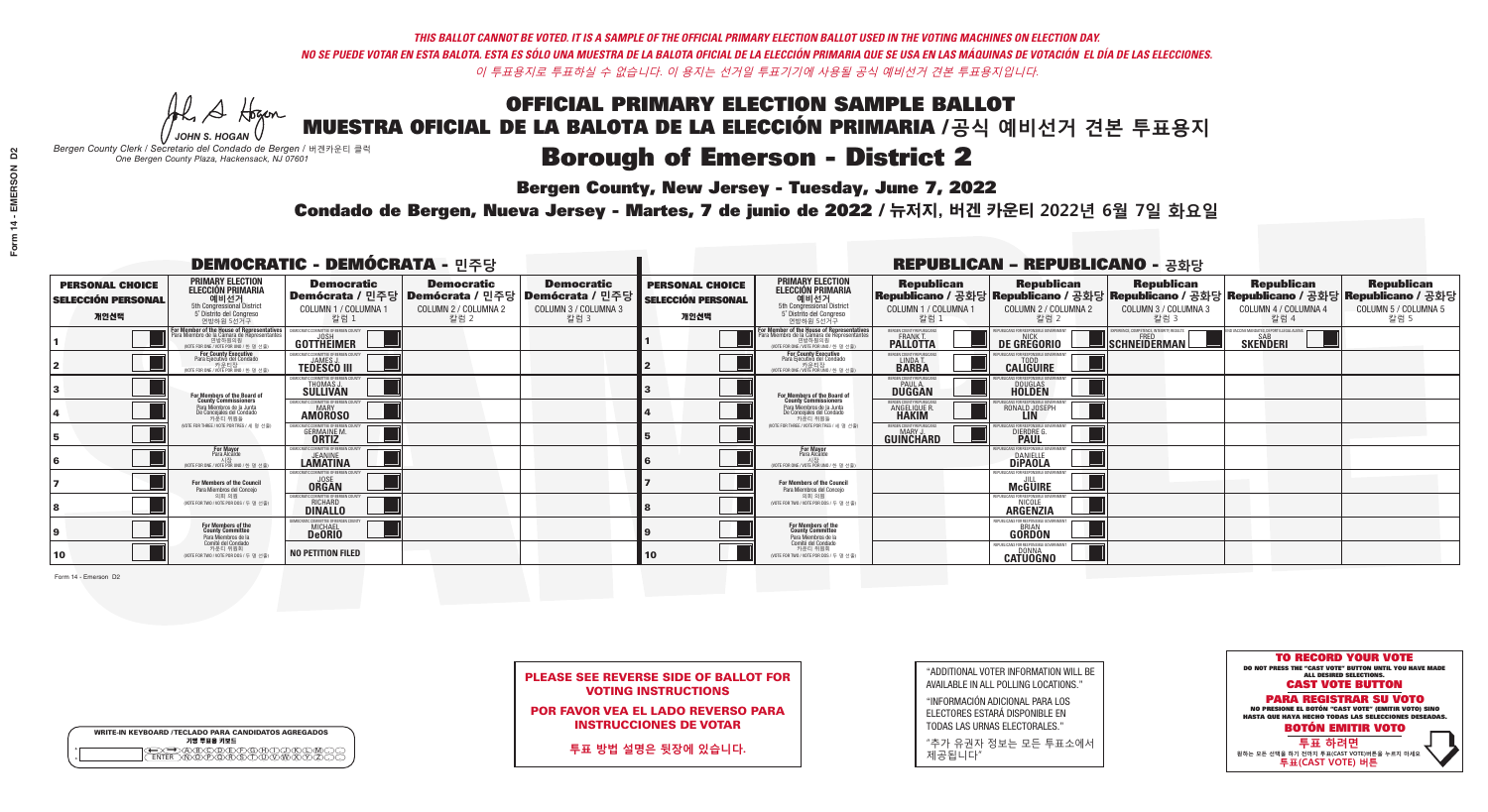A Hogen *JOHN S. HOGAN*

| WRITE-IN KEYBOARD /TECLADO PARA CANDIDATOS AGREGADOS |  |
|------------------------------------------------------|--|
| 기명 투표용 키보드                                           |  |
|                                                      |  |
|                                                      |  |

# **Borough of Emerson - District 2**

**Bergen County, New Jersey - Tuesday, June 7, 2022** 

*Bergen County Clerk / Secretario del Condado de Bergen /* 버겐카운티 클럭 *One Bergen County Plaza, Hackensack, NJ 07601*



PLEASE SEE REVERSE SIDE OF BALLOT FOR VOTING INSTRUCTIONS

POR FAVOR VEA EL LADO REVERSO PARA INSTRUCCIONES DE VOTAR

**투표 방법 설명은 뒷장에 있습니다.**

| "ADDITIONAL VOTER INFORMATION WILL BE |
|---------------------------------------|
| AVAILABLE IN ALL POLLING LOCATIONS."  |

"INFORMACIÓN ADICIONAL PARA LOS ELECTORES ESTARÁ DISPONIBLE EN TODAS LAS URNAS ELECTORALES."

"추가 유권자 정보는 모든 투표소에서 제공됩니다"

Condado de Bergen, Nueva Jersey - Martes, 7 de junio de 2022 / 뉴저지, 버겐 카운티 2022년 6월 7일 화요일 *One Bergen County Plaza, Hackensack, NJ 07601*

| <b>DEMOCRATIC - DEMÓCRATA - 민주당</b>                         |                                                                                                                                         |                                                                            |                                                   |                                                                                                        |                                                             |                                                                                                                                   |                                                               | <b>REPUBLICAN - REPUBLICANO - 공화당</b>                       |                                                                                                                                                |                                                           |                                                   |
|-------------------------------------------------------------|-----------------------------------------------------------------------------------------------------------------------------------------|----------------------------------------------------------------------------|---------------------------------------------------|--------------------------------------------------------------------------------------------------------|-------------------------------------------------------------|-----------------------------------------------------------------------------------------------------------------------------------|---------------------------------------------------------------|-------------------------------------------------------------|------------------------------------------------------------------------------------------------------------------------------------------------|-----------------------------------------------------------|---------------------------------------------------|
| <b>PERSONAL CHOICE</b><br><b>SELECCIÓN PERSONAL</b><br>개인선택 | <b>PRIMARY ELECTION</b><br>ELECCIÓN PRIMARIA<br>예비선거<br>5th Congressional District<br>5° Distrito del Congreso<br>연방하원 5선거구             | <b>Democratic</b><br>COLUMN 1 / COLUMNA 1<br>칼럼 1                          | <b>Democratic</b><br>COLUMN 2 / COLUMNA 2<br>칼럼 2 | <b>Democratic</b><br>│Demócrata / 민주당│Demócrata / 민주당│Demócrata / 민주당│<br>COLUMN 3 / COLUMNA 3<br>칼럼 3 | <b>PERSONAL CHOICE</b><br><b>SELECCIÓN PERSONAL</b><br>개인선택 | <b>PRIMARY ELECTION</b><br>ELECCIÓN PRIMARIA<br>5th Congressional District<br>5° Distrito del Congreso<br>연방하원 5선거구               | <b>Republican</b><br>COLUMN 1 / COLUMNA 1<br>칼럼 :             | <b>Republican</b><br>COLUMN 2 / COLUMNA 2<br>칼럼 2           | <b>Republican</b><br>Republicano / 공화당 Republicano / 공화당 Republicano / 공화당 Republicano / 공화당 Republicano / 공화당<br>COLUMN 3 / COLUMNA 3<br>칼럼 3 | <b>Republican</b><br>COLUMN 4 / COLUMNA 4<br>칼럼 4         | <b>Republican</b><br>COLUMN 5 / COLUMNA 5<br>칼럼 5 |
|                                                             | or Member of the House of Representatives<br>a Miembro de la Cámara de Representant<br>연방하원의원<br>(VOTE FOR ONE / VOTE POR UNO / 한 명 선출) | DEMOCRATIC COMMITTEE OF BERGEN COUNTY<br>GOTTHEIMER                        |                                                   |                                                                                                        |                                                             | For Member of the House of Representatives<br>Para Miembro de la Cámara de Representantes<br>WOTE FOR ONE / VOTE POR UNO / 한 명 선출 | BERGEN COUNTY REPUBLICANS<br><b>PALLOTTA</b>                  | DE GREGORIO                                                 | XPERIENCE, COMPETENCE, INTEGRITY, RESULTS<br>SCHNEIDERMAN                                                                                      | VD VACCINE MANDATES, DEPORT ILLEGAL ALIENS. [<br>SKEÑDERI |                                                   |
|                                                             | For County Executive<br>Para Ejecutivo del Condado<br>7) 카운티장<br>(VOTE FOR ONE / VOTE POR UNO / 한 명 선출)                                 | JEMOCRATIC COMMITTEE OF BERGEN COUNTY<br><b>TEDESCO III</b>                |                                                   |                                                                                                        |                                                             | For County Executive<br>Para Ejecutivo del Condado<br>.<br>7 카운티장<br>(VOTE FOR ONE / VOTE POR UNO / 한 명 선출                        | BERGEN COUNTY REPUBLICAN!<br>LINDA T.                         | <b>CALIGUIRE</b>                                            |                                                                                                                                                |                                                           |                                                   |
|                                                             | For Members of the Board of<br>County Commissioners                                                                                     | EMOCRATIC COMMITTEE OF BERGEN COUNT<br><b>THOMAS J.</b><br><b>SULLIVAN</b> |                                                   |                                                                                                        |                                                             | For Members of the Board of<br>County Commissioners                                                                               | BERGEN COUNTY REPUBLICAN:<br><b>PAUL A.</b><br><b>DUGGAN</b>  | <b>DOUGLAS</b>                                              |                                                                                                                                                |                                                           |                                                   |
|                                                             | Para Miembros de la Junta<br>De Concejales del Condado<br>카우티 위원들                                                                       | <b>IOCRATIC COMMITTEE OF BEBGEN COUNT</b><br><b>AMOROSO</b>                |                                                   |                                                                                                        |                                                             | Para Miembros de la Junta<br>De Concejales del Condado<br>카우티 위원들                                                                 | ERGEN COUNTY REPUBLICAN<br><b>ANGELIQUE R</b><br><b>HAKIM</b> | RONALD JOSEPH<br><b>LIN</b>                                 |                                                                                                                                                |                                                           |                                                   |
|                                                             | NOTE FOR THREE / VOTE POR TRES / 세 명 선축)                                                                                                | <b>GERMAINE M.</b><br><b>ORTIZ</b>                                         |                                                   |                                                                                                        |                                                             | NOTE FOR THREE / VOTE POR TRES / 세 명 선출                                                                                           | ERGEN COUNTY REPUBLICAN:<br>GUINCHARD                         | DIERDRE O                                                   |                                                                                                                                                |                                                           |                                                   |
|                                                             | For Mayor<br>Para Alcalde<br>(VOTE FOR ONE / VOTE POR UNO / 한 명 선결                                                                      | MOCRATIC COMMITTEE OF BERGEN COUNT<br><b>JEANINE</b><br>LAMATINA           |                                                   |                                                                                                        |                                                             | For Mayor<br>Para Alcalde<br>NOTE FOR ONE / VOTE POR UNO / 한 명 선출                                                                 |                                                               | <b>DANIELLE</b><br><b>DIPAOLA</b>                           |                                                                                                                                                |                                                           |                                                   |
|                                                             | For Members of the Council<br>Para Miembros del Conceio                                                                                 | EMOCRATIC COMMITTEE OF BERGEN COUNTY<br><b>ORGAN</b>                       |                                                   |                                                                                                        |                                                             | <b>For Members of the Council</b><br>Para Miembros del Concejo                                                                    |                                                               | PUBLICANS FOR RESPONSIBLE GOVERNMENT:<br><b>McGUIRE</b>     |                                                                                                                                                |                                                           |                                                   |
|                                                             | 의회 의원<br>(VOTE FOR TWO / VOTE POR DOS / 두 명 선출)                                                                                         | ATIC COMMITTEE OF BERGEN COUNT<br><b>RICHARD</b>                           |                                                   |                                                                                                        |                                                             | 의회 의원<br>WOTE FOR TWO / VOTE POR DOS / 두 명 선출)                                                                                    |                                                               | EPURLICANS EDR RESPONSIBLE GO!<br>NICOLE<br><b>ARGENZIA</b> |                                                                                                                                                |                                                           |                                                   |
|                                                             | For Members of the<br>County Committee<br>Para Miembros de la                                                                           | <b>IOCRATIC COMMITTEE OF BERGEN COUN</b><br>MICHAEL<br><b>DeORIO</b>       |                                                   |                                                                                                        |                                                             | For Members of the<br>County Committee<br>Para Miembros de la<br>Comité del Condado                                               |                                                               | REPUBLICANS FOR RESPONSIBLE GOVER<br><b>GORDON</b>          |                                                                                                                                                |                                                           |                                                   |
| 10                                                          | Comité del Condado<br>카운티 위원회<br>(VOTE FOR TWO / VOTE POR DOS / 두 명 선출)                                                                 | <b>NO PETITION FILED</b>                                                   |                                                   |                                                                                                        | 10                                                          | 카운티 위원회<br>(VOTE FOR TWO / VOTE POR DOS / 두 명 선출)                                                                                 |                                                               | <b>FPUBLICANS FOR RESPONSIBLE G</b><br><b>CATUOGNO</b>      |                                                                                                                                                |                                                           |                                                   |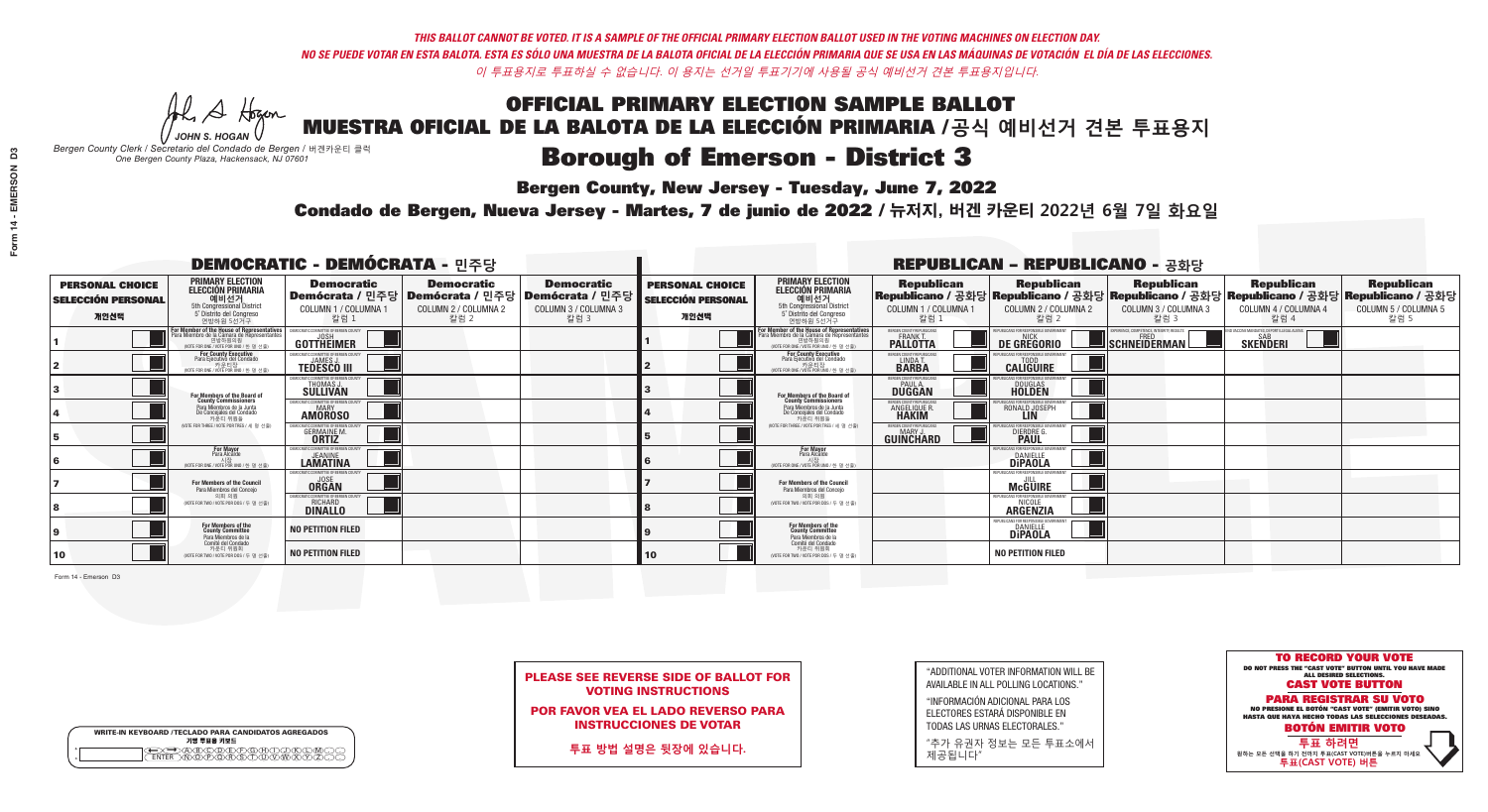A Hogan *JOHN S. HOGAN*

| <b>WRITE-IN KEYBOARD /TECLADO PARA CANDIDATOS AGREGADOS</b><br>기명 투표용 키보드 |  |
|---------------------------------------------------------------------------|--|
| ABCOEFOBDI<br>NOPORSTUVW                                                  |  |

# **Borough of Emerson - District 3**

**Bergen County, New Jersey - Tuesday, June 7, 2022** 

*Bergen County Clerk / Secretario del Condado de Bergen /* 버겐카운티 클럭 *One Bergen County Plaza, Hackensack, NJ 07601*



PLEASE SEE REVERSE SIDE OF BALLOT FOR VOTING INSTRUCTIONS

POR FAVOR VEA EL LADO REVERSO PARA INSTRUCCIONES DE VOTAR

**투표 방법 설명은 뒷장에 있습니다.**

| "ADDITIONAL VOTER INFORMATION WILL BE |
|---------------------------------------|
| AVAILABLE IN ALL POLLING LOCATIONS."  |

"INFORMACIÓN ADICIONAL PARA LOS ELECTORES ESTARÁ DISPONIBLE EN TODAS LAS URNAS ELECTORALES."

"추가 유권자 정보는 모든 투표소에서 제공됩니다"

Condado de Bergen, Nueva Jersey - Martes, 7 de junio de 2022 / 뉴저지, 버겐 카운티 2022년 6월 7일 화요일 *One Bergen County Plaza, Hackensack, NJ 07601*

| <b>DEMOCRATIC - DEMÓCRATA - 민주당</b>                         |                                                                                                                                        |                                                                            |                                                   |                                                                                                        |                                                             |                                                                                                                                  |                                                                 | <b>REPUBLICAN - REPUBLICANO - 공화당</b>                                                                                                          |                                                           |                                                               |                                                   |
|-------------------------------------------------------------|----------------------------------------------------------------------------------------------------------------------------------------|----------------------------------------------------------------------------|---------------------------------------------------|--------------------------------------------------------------------------------------------------------|-------------------------------------------------------------|----------------------------------------------------------------------------------------------------------------------------------|-----------------------------------------------------------------|------------------------------------------------------------------------------------------------------------------------------------------------|-----------------------------------------------------------|---------------------------------------------------------------|---------------------------------------------------|
| <b>PERSONAL CHOICE</b><br><b>SELECCIÓN PERSONAL</b><br>개인선택 | <b>PRIMARY ELECTION</b><br>ELECCIÓN PRIMARIA<br>예비선거<br>5th Congressional District<br>5° Distrito del Congreso<br>연방하원 5선거구            | <b>Democratic</b><br>COLUMN 1 / COLUMNA 1<br>칼럼 1                          | <b>Democratic</b><br>COLUMN 2 / COLUMNA 2<br>칼럼 2 | <b>Democratic</b><br>│Demócrata / 민주당│Demócrata / 민주당│Demócrata / 민주당│<br>COLUMN 3 / COLUMNA 3<br>칼럼 3 | <b>PERSONAL CHOICE</b><br><b>SELECCIÓN PERSONAL</b><br>개인선택 | <b>PRIMARY ELECTION</b><br>ELECCIÓN PRIMARIA<br>5th Congressional District<br>5° Distrito del Congreso<br>연방하원 5선거구              | <b>Republican</b><br>COLUMN 1 / COLUMNA 1<br>칼럼 1               | <b>Republican</b><br>Republicano / 공화당 Republicano / 공화당 Republicano / 공화당 Republicano / 공화당 Republicano / 공화당<br>COLUMN 2 / COLUMNA 2<br>칼럼 2 | <b>Republican</b><br>COLUMN 3 / COLUMNA 3<br>칼럼 3         | <b>Republican</b><br>COLUMN 4 / COLUMNA 4<br>칼럼 4             | <b>Republican</b><br>COLUMN 5 / COLUMNA 5<br>칼럼 5 |
|                                                             | or Member of the House of Representatives<br>a Miembro de la Cámara de Representante<br>연방하원의원<br>WOTE FOR ONE / VOTE POR UNO / 한 명 선출 | DEMOCRATIC COMMITTEE OF BERGEN COUNTY<br>GOTTHEIMER                        |                                                   |                                                                                                        |                                                             | For Member of the House of Representatives<br>ara Miembro de la Cámara de Representantes<br>WOTE FOR ONE / VOTE POR UNO / 한 명 선출 | BERGEN COUNTY REPUBLICANS<br><b>PALLOTTA</b>                    | DE GREGORIO                                                                                                                                    | KPERIENCE. COMPETENCE. INTEGRITY. RESULTS<br>SCHNEIDERMAN | VACCINE MANDATES, DEPORT ILLEGAL ALIENS. [<br><b>SKENDERI</b> |                                                   |
|                                                             | For County Executive<br>Para Ejecutivo del Condado<br>가운티장<br>(VOTE FOR ONE / VOTE POR UNO / 한 명 선출)                                   | JEMOCRATIC COMMITTEE OF BERGEN COUNTY<br><b>TEDESCO III</b>                |                                                   |                                                                                                        |                                                             | For County Executive<br>Para Ejecutivo del Condado<br>.<br>7 카운티장<br>VOTE FOR ONE / VOTE POR UNO / 한 명 선출                        | BERGEN COUNTY REPUBLICAN!<br>LINDA T.                           | <b>CALIGUIRE</b>                                                                                                                               |                                                           |                                                               |                                                   |
|                                                             | <b>For Members of the Board of<br/>County Commissioners</b>                                                                            | EMOCRATIC COMMITTEE OF BERGEN COUNT<br><b>THOMAS J.</b><br><b>SULLIVAN</b> |                                                   |                                                                                                        |                                                             | For Members of the Board of<br>County Commissioners                                                                              | BERGEN COUNTY REPUBLICAN:<br><b>PAUL A.</b><br><b>DUGGAN</b>    | <b>DOUGLAS</b>                                                                                                                                 |                                                           |                                                               |                                                   |
|                                                             | Para Miembros de la Junta<br>De Concejales del Condado<br>카운티 위원들                                                                      | <b>EMOCRATIC COMMITTEE OF BERGEN COUNTY</b><br><b>AMOROSO</b>              |                                                   |                                                                                                        |                                                             | Para Miembros de la Junta<br>De Concejales del Condado<br>카우티 위원들                                                                | BERGEN COUNTY REPUBLICAN!<br><b>ANGELIQUE R</b><br><b>HAKIM</b> | RONALD JOSEPH<br><b>LIN</b>                                                                                                                    |                                                           |                                                               |                                                   |
|                                                             | NOTE FOR THREE / VOTE POR TRES / 세 명 선출)                                                                                               | <b>GERMAINE M.</b><br><b>ORTIZ</b>                                         |                                                   |                                                                                                        |                                                             | NOTE FOR THREE / VOTE POR TRES / 세 명 선출                                                                                          | ERGEN COUNTY REPUBLICANS<br>MARY J<br>GUINCHARD                 | DIERDRE O                                                                                                                                      |                                                           |                                                               |                                                   |
|                                                             | <b>For Mayor</b><br>Para Alcalde<br>NOTE FOR ONE / VOTE POR UNO / 한 명 선출                                                               | MOCRATIC COMMITTEE OF BERGEN COUNT<br><b>LAMATINA</b>                      |                                                   |                                                                                                        |                                                             | For Mayor<br>Para Alcalde<br>NOTE FOR ONE / VOTE POR UNO / 한 명.                                                                  |                                                                 | BLICANS FOR RESPONSIBLE G<br><b>DANIELLE</b><br><b>DIPAOLA</b>                                                                                 |                                                           |                                                               |                                                   |
|                                                             | For Members of the Council<br>Para Miembros del Conceio                                                                                | MOCRATIC COMMITTEE OF RERGEN (<br><b>ORGAN</b>                             |                                                   |                                                                                                        |                                                             | <b>For Members of the Council</b><br>Para Miembros del Conceio                                                                   |                                                                 | McGUIRE                                                                                                                                        |                                                           |                                                               |                                                   |
|                                                             | 의회 의원<br>(VOTE FOR TWO / VOTE POR DOS / 두 명 선출)                                                                                        | RATIC COMMITTEE OF BERGEN COUNT<br><b>RICHARD</b>                          |                                                   |                                                                                                        |                                                             | 의회 의원<br>WOTE FOR TWO / VOTE POR DOS / 두 명 선출)                                                                                   |                                                                 | FPUBLICANS FOR RESPONSIBLE GOVERNMEN<br>NICOLE<br><b>ARGENZIA</b>                                                                              |                                                           |                                                               |                                                   |
|                                                             | For Members of the<br>County Committee<br>Para Miembros de la<br>Comité del Condado                                                    | <b>NO PETITION FILED</b>                                                   |                                                   |                                                                                                        |                                                             | For Members of the<br>County Committee<br>Para Miembros de la<br>Comité del Condado                                              |                                                                 | REPUBLICANS FOR RESPONSIBLE GOVI<br>DANIELLE<br><b>DiPAOLA</b>                                                                                 |                                                           |                                                               |                                                   |
| 10                                                          | 카운티 위원회<br>(VOTE FOR TWO / VOTE POR DOS / 두 명 선출)                                                                                      | <b>NO PETITION FILED</b>                                                   |                                                   |                                                                                                        | 10                                                          | 카운티 위원회<br>(VOTE FOR TWO / VOTE POR DOS / 두 명 선출)                                                                                |                                                                 | <b>NO PETITION FILED</b>                                                                                                                       |                                                           |                                                               |                                                   |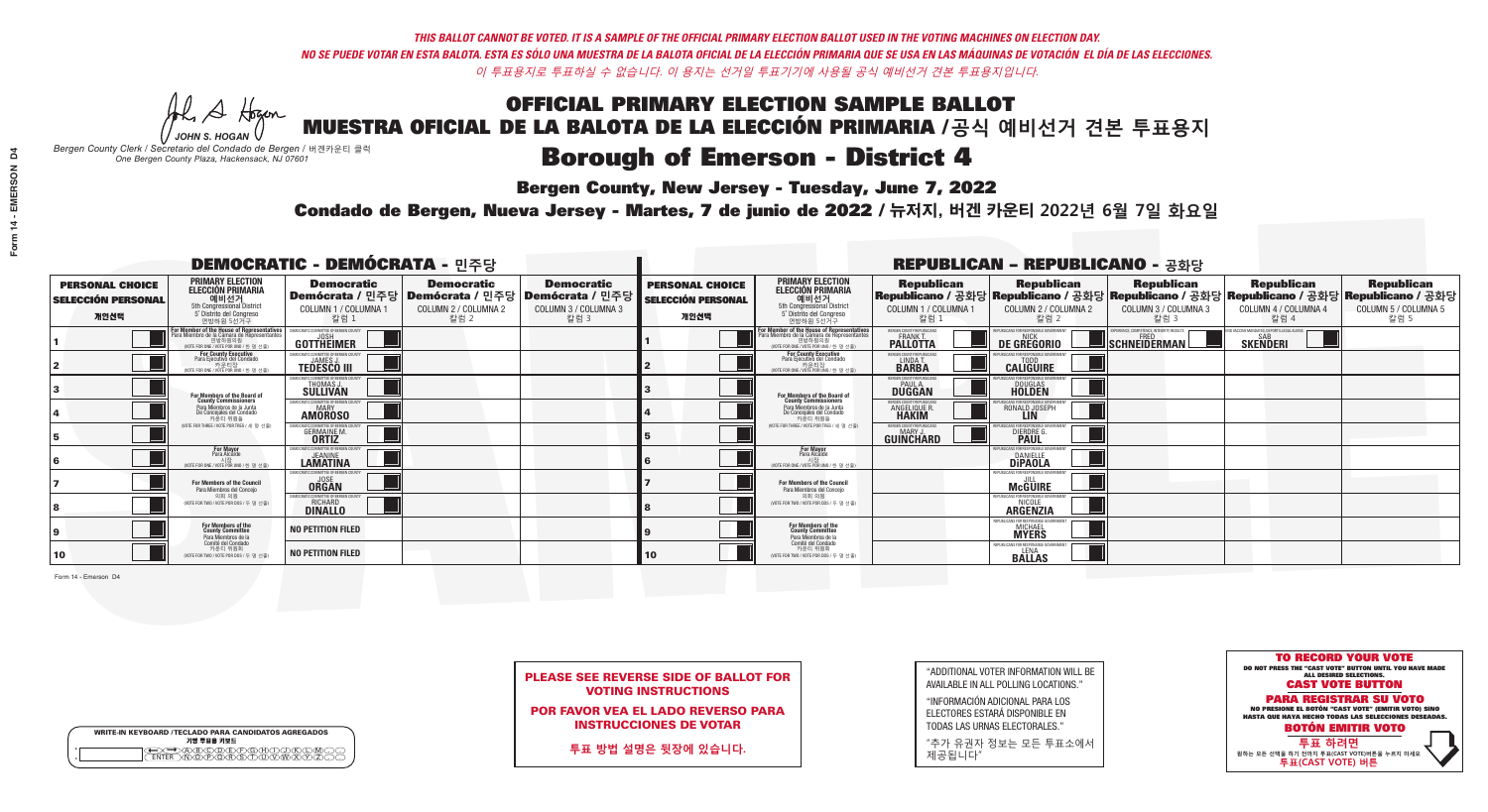A Hram *JOHN S. HOGAN*

| <b>WRITE-IN KEYBOARD /TECLADO PARA CANDIDATOS AGREGADOS</b><br>기명 투표용 키보드 |  |
|---------------------------------------------------------------------------|--|
| DABODEFOHDJ<br>MDOPORSTUDOM                                               |  |

## **Borough of Emerson - District 4**

**Bergen County, New Jersey - Tuesday, June 7, 2022** 

*Bergen County Clerk / Secretario del Condado de Bergen /* 버겐카운티 클럭 *One Bergen County Plaza, Hackensack, NJ 07601*



PLEASE SEE REVERSE SIDE OF BALLOT FOR VOTING INSTRUCTIONS

POR FAVOR VEA EL LADO REVERSO PARA INSTRUCCIONES DE VOTAR

**투표 방법 설명은 뒷장에 있습니다.**

"ADDITIONAL VOTER INFORMATION WILL BE AVAILABLE IN ALL POLLING LOCATIONS."

"INFORMACIÓN ADICIONAL PARA LOS ELECTORES ESTARÁ DISPONIBLE EN TODAS LAS URNAS ELECTORALES."

"추가 유권자 정보는 모든 투표소에서 제공됩니다"

Condado de Bergen, Nueva Jersey - Martes, 7 de junio de 2022 / 뉴저지, 버겐 카운티 2022년 6월 7일 화요일 *One Bergen County Plaza, Hackensack, NJ 07601*

| <b>DEMOCRATIC - DEMÓCRATA - 민주당</b>                         |                                                                                                                                        |                                                                            |                                                   |                                                                                                        |                                                             |                                                                                                                                            |                                                                 | <b>REPUBLICAN - REPUBLICANO - 공화당</b>                             |                                                                                                                                                |                                                               |                                                   |
|-------------------------------------------------------------|----------------------------------------------------------------------------------------------------------------------------------------|----------------------------------------------------------------------------|---------------------------------------------------|--------------------------------------------------------------------------------------------------------|-------------------------------------------------------------|--------------------------------------------------------------------------------------------------------------------------------------------|-----------------------------------------------------------------|-------------------------------------------------------------------|------------------------------------------------------------------------------------------------------------------------------------------------|---------------------------------------------------------------|---------------------------------------------------|
| <b>PERSONAL CHOICE</b><br><b>SELECCIÓN PERSONAL</b><br>개인선택 | <b>PRIMARY ELECTION</b><br>ELECCIÓN PRIMARIA<br>예비선거<br>5th Congressional District<br>5° Distrito del Congreso<br>연방하원 5선거구            | <b>Democratic</b><br>COLUMN 1 / COLUMNA 1<br>칼럼 1                          | <b>Democratic</b><br>COLUMN 2 / COLUMNA 2<br>칼럼 2 | <b>Democratic</b><br>│Demócrata / 민주당│Demócrata / 민주당│Demócrata / 민주당│<br>COLUMN 3 / COLUMNA 3<br>칼럼 3 | <b>PERSONAL CHOICE</b><br><b>SELECCIÓN PERSONAL</b><br>개인선택 | <b>PRIMARY ELECTION</b><br><b>ELECCIÓN PRIMARIA</b><br><u> 예비선거</u><br>5th Congressional District<br>5° Distrito del Congreso<br>연방하원 5선거구 | <b>Republican</b><br>COLUMN 1 / COLUMNA 1<br>칼럼 1               | <b>Republican</b><br>COLUMN 2 / COLUMNA 2<br>칼럼 2                 | <b>Republican</b><br>Republicano / 공화당 Republicano / 공화당 Republicano / 공화당 Republicano / 공화당 Republicano / 공화당<br>COLUMN 3 / COLUMNA 3<br>칼럼 3 | <b>Republican</b><br>COLUMN 4 / COLUMNA 4<br>칼럼 4             | <b>Republican</b><br>COLUMN 5 / COLUMNA 5<br>칼럼 5 |
|                                                             | or Member of the House of Representatives<br>a Miembro de la Cámara de Representante<br>연방하원의원<br>WOTE FOR ONE / VOTE POR UNO / 한 명 선출 | DEMOCRATIC COMMITTEE OF BERGEN COUNTY<br>GOTTHEIMER                        |                                                   |                                                                                                        |                                                             | For Member of the House of Representatives<br>ara Miembro de la Cámara de Representantes<br>WOTE FOR ONE / VOTE POR UNO / 한 명 선출           | BERGEN COUNTY REPUBLICANS<br><b>PALLOTTA</b>                    | DE GREGORIO                                                       | KPERIENCE. COMPETENCE. INTEGRITY. RESULTS<br>SCHNEIDERMAN                                                                                      | VACCINE MANDATES, DEPORT ILLEGAL ALIENS. [<br><b>SKENDERI</b> |                                                   |
|                                                             | For County Executive<br>Para Ejecutivo del Condado<br>가운티장<br>(VOTE FOR ONE / VOTE POR UNO / 한 명 선출)                                   | DEMOCRATIC COMMITTEE OF BERGEN COUNTY<br><b>TEDESCO III</b>                |                                                   |                                                                                                        |                                                             | For County Executive<br>Para Ejecutivo del Condado<br>.<br>7 카운티장<br>VOTE FOR ONE / VOTE POR UNO / 한 명 선출                                  | BERGEN COUNTY REPUBLICAN!<br>LINDA T.                           | <b>CALIGUIRE</b>                                                  |                                                                                                                                                |                                                               |                                                   |
|                                                             | <b>For Members of the Board of<br/>County Commissioners</b>                                                                            | EMOCRATIC COMMITTEE OF BERGEN COUNT<br><b>THOMAS J.</b><br><b>SULLIVAN</b> |                                                   |                                                                                                        |                                                             | For Members of the Board of<br>County Commissioners                                                                                        | BERGEN COUNTY REPUBLICAN:<br><b>PAUL A.</b><br><b>DUGGAN</b>    | <b>DOUGLAS</b><br><b>HOLDEN</b>                                   |                                                                                                                                                |                                                               |                                                   |
|                                                             | Para Miembros de la Junta<br>De Concejales del Condado<br>카운티 위원들                                                                      | <b>EMOCRATIC COMMITTEE OF BERGEN COUNTY</b><br><b>AMOROSO</b>              |                                                   |                                                                                                        |                                                             | Para Miembros de la Junta<br>De Concejales del Condado<br>카우티 위원들                                                                          | BERGEN COUNTY REPUBLICAN!<br><b>ANGELIQUE R</b><br><b>HAKIM</b> | RONALD JOSEPH<br><b>LIN</b>                                       |                                                                                                                                                |                                                               |                                                   |
|                                                             | NOTE FOR THREE / VOTE POR TRES / 세 명 선출)                                                                                               | <b>GERMAINE M.</b><br><b>ORTIZ</b>                                         |                                                   |                                                                                                        |                                                             | NOTE FOR THREE / VOTE POR TRES / 세 명 선출                                                                                                    | ERGEN COUNTY REPUBLICANS<br>MARY J<br>GUINCHARD                 | DIERDRE O                                                         |                                                                                                                                                |                                                               |                                                   |
|                                                             | <b>For Mayor</b><br>Para Alcalde<br>NOTE FOR ONE / VOTE POR UNO / 한 명 선출                                                               | MOCRATIC COMMITTEE OF BERGEN COUNT<br><b>LAMATINA</b>                      |                                                   |                                                                                                        |                                                             | For Mayor<br>Para Alcalde<br>NOTE FOR ONE / VOTE POR UNO / 한 명.                                                                            |                                                                 | BLICANS FOR RESPONSIBLE<br><b>DANIELLE</b><br><b>DIPAOLA</b>      |                                                                                                                                                |                                                               |                                                   |
|                                                             | For Members of the Council<br>Para Miembros del Conceio                                                                                | MOCRATIC COMMITTEE OF RERGEN (<br><b>ORGAN</b>                             |                                                   |                                                                                                        |                                                             | <b>For Members of the Council</b><br>Para Miembros del Conceio                                                                             |                                                                 | McGUIRE                                                           |                                                                                                                                                |                                                               |                                                   |
|                                                             | 의회 의원<br>(VOTE FOR TWO / VOTE POR DOS / 두 명 선출)                                                                                        | RATIC COMMITTEE OF BERGEN COUNT<br><b>RICHARD</b>                          |                                                   |                                                                                                        |                                                             | 의회 의원<br>WOTE FOR TWO / VOTE POR DOS / 두 명 선출)                                                                                             |                                                                 | FPUBLICANS FOR RESPONSIBLE GOVERNMEN<br>NICOLE<br><b>ARGENZIA</b> |                                                                                                                                                |                                                               |                                                   |
|                                                             | For Members of the<br>County Committee<br>Para Miembros de la<br>Comité del Condado                                                    | <b>NO PETITION FILED</b>                                                   |                                                   |                                                                                                        |                                                             | For Members of the<br>County Committee<br>Para Miembros de la<br>Comité del Condado                                                        |                                                                 | REPUBLICANS FOR RESPONSIBLE GO<br><b>MICHAEL</b><br><b>MYERS</b>  |                                                                                                                                                |                                                               |                                                   |
| 10                                                          | 카운티 위원회<br>(VOTE FOR TWO / VOTE POR DOS / 두 명 선출)                                                                                      | <b>NO PETITION FILED</b>                                                   |                                                   |                                                                                                        | 10                                                          | 카운티 위원회<br>(VOTE FOR TWO / VOTE POR DOS / 두 명 선출)                                                                                          |                                                                 | REPUBLICANS FOR RESPONSIBLE G<br><b>BALLAS</b>                    |                                                                                                                                                |                                                               |                                                   |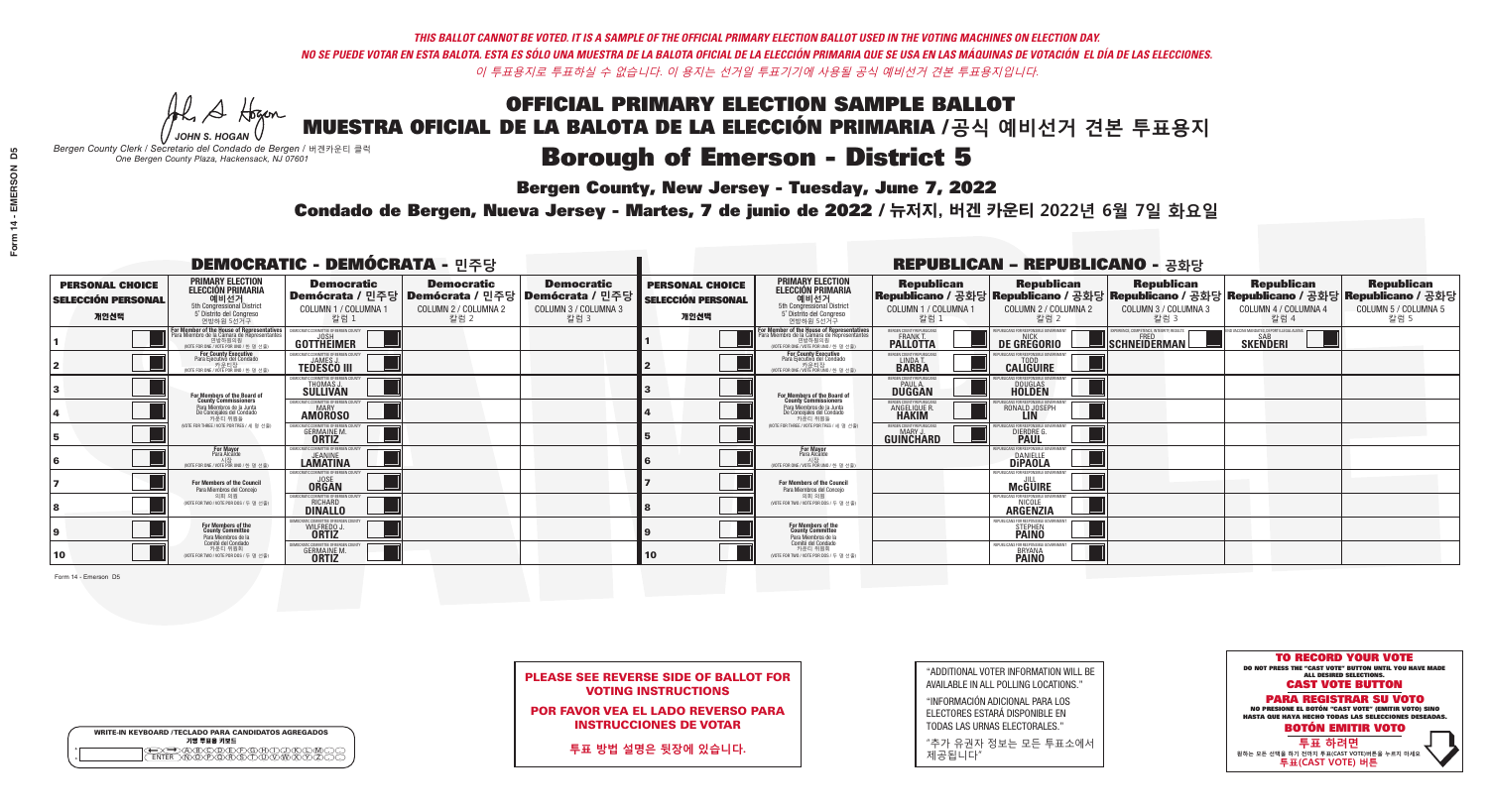A Hogan *JOHN S. HOGAN*

| <b>WRITE-IN KEYBOARD /TECLADO PARA CANDIDATOS AGREGADOS</b><br>기명 투표용 키보드 |  |
|---------------------------------------------------------------------------|--|
| 70BODDEDEDEDADO                                                           |  |

# **Borough of Emerson - District 5**

**Bergen County, New Jersey - Tuesday, June 7, 2022** 

*Bergen County Clerk / Secretario del Condado de Bergen /* 버겐카운티 클럭 *One Bergen County Plaza, Hackensack, NJ 07601*



PLEASE SEE REVERSE SIDE OF BALLOT FOR VOTING INSTRUCTIONS

POR FAVOR VEA EL LADO REVERSO PARA INSTRUCCIONES DE VOTAR

**투표 방법 설명은 뒷장에 있습니다.**

| "ADDITIONAL VOTER INFORMATION WILL BE |
|---------------------------------------|
| AVAILABLE IN ALL POLLING LOCATIONS."  |

"INFORMACIÓN ADICIONAL PARA LOS ELECTORES ESTARÁ DISPONIBLE EN TODAS LAS URNAS ELECTORALES."

"추가 유권자 정보는 모든 투표소에서 제공됩니다"

Condado de Bergen, Nueva Jersey - Martes, 7 de junio de 2022 / 뉴저지, 버겐 카운티 2022년 6월 7일 화요일 *One Bergen County Plaza, Hackensack, NJ 07601*

| <b>DEMOCRATIC - DEMÓCRATA - 민주당</b>                         |                                                                                                                                               |                                                                                    |                                                   |                                                                                                        | <b>REPUBLICAN - REPUBLICANO - 공화당</b>                       |                                                                                                                                               |                                                              |                                                                                                                                                |                                                          |                                                   |                                                   |
|-------------------------------------------------------------|-----------------------------------------------------------------------------------------------------------------------------------------------|------------------------------------------------------------------------------------|---------------------------------------------------|--------------------------------------------------------------------------------------------------------|-------------------------------------------------------------|-----------------------------------------------------------------------------------------------------------------------------------------------|--------------------------------------------------------------|------------------------------------------------------------------------------------------------------------------------------------------------|----------------------------------------------------------|---------------------------------------------------|---------------------------------------------------|
| <b>PERSONAL CHOICE</b><br><b>SELECCIÓN PERSONAL</b><br>개인선택 | <b>PRIMARY ELECTION</b><br><b>ELECCIÓN PRIMARIA</b><br>예비선거<br>5th Congressional District<br>5° Distrito del Congreso<br>연방하원 5선거구            | <b>Democratic</b><br>COLUMN 1 / COLUMNA 1<br>칼럼 1                                  | <b>Democratic</b><br>COLUMN 2 / COLUMNA 2<br>칼럼 2 | <b>Democratic</b><br>│Demócrata / 민주당│Demócrata / 민주당│Demócrata / 민주당│<br>COLUMN 3 / COLUMNA 3<br>칼럼 3 | <b>PERSONAL CHOICE</b><br><b>SELECCIÓN PERSONAL</b><br>개인선택 | <b>PRIMARY ELECTION</b><br><b>ELECCIÓN PRIMARIA</b><br>예비선거<br>5th Congressional District<br>5° Distrito del Congreso<br>연방하원 5선거구            | <b>Republican</b><br>COLUMN 1 / COLUMNA 1<br>칼럼 1            | <b>Republican</b><br>Republicano / 공화당 Republicano / 공화당 Republicano / 공화당 Republicano / 공화당 Republicano / 공화당<br>COLUMN 2 / COLUMNA 2<br>칼럼 2 | <b>Republican</b><br>COLUMN 3 / COLUMNA 3<br>칼럼 3        | <b>Republican</b><br>COLUMN 4 / COLUMNA 4<br>칼럼 4 | <b>Republican</b><br>COLUMN 5 / COLUMNA 5<br>칼럼 5 |
|                                                             | For Member of the House of Representatives<br>Para Miembro de la Cámara de Representantes<br>연방하원의원<br>(VOTE FOR ONE / VOTE POR UNO / 한 명 선출) | COMMITTEE OF BERGEN COUNT<br>GOTTHEIMER                                            |                                                   |                                                                                                        |                                                             | For Member of the House of Representatives<br>Para Miembro de la Cámara de Representantes<br>연방하원의원<br>(VOTE FOR ONE / VOTE POR UNO / 한 명 선출) | BERGEN COUNTY REPUBLICANS<br><b>PALLOTTA</b>                 | DE GREGORIO                                                                                                                                    | PERIENCE, COMPETENCE, INTEGRITY, RESULTS<br>SCHNEIDERMAN | <b>SKENDERI</b>                                   |                                                   |
|                                                             | For County Executive<br>Para Ejecutivo del Condado<br>가운티장<br>(VOTE FOR ONE / VOTE POR UNO / 한 명 선출)                                          | DEMOCRATIC COMMITTEE OF BERGEN COUNTY<br><b>TEDESCO III</b>                        |                                                   |                                                                                                        |                                                             | For County Executive<br>Para Ejecutivo del Condado<br>7 카운티장<br>(VOTE FOR ONE / VOTE POR UNO / 한 명 선출)                                        | BERGEN COUNTY REPUBLICAN:<br>LINDA T.                        | <b>CALIGUIRE</b>                                                                                                                               |                                                          |                                                   |                                                   |
|                                                             | <b>For Members of the Board of<br/>County Commissioners</b>                                                                                   | <b>EMOCRATIC COMMITTEE OF BEBGEN COUNTY</b><br><b>THOMAS J.</b><br><b>SULLIVAN</b> |                                                   |                                                                                                        |                                                             | For Members of the Board of<br>County Commissioners                                                                                           | BERGEN COUNTY REPUBLICAN!<br>PAUL A.<br>DUGGAN               | DOUGLAS<br>HOLDEN                                                                                                                              |                                                          |                                                   |                                                   |
|                                                             | Para Miembros de la Junta<br>De Concejales del Condado<br>카우티 위원들                                                                             | <b>OCRATIC COMMITTEE OF BERGEN COUNT</b><br><b>MARY</b><br><b>AMOROSO</b>          |                                                   |                                                                                                        |                                                             | Para Miembros de la Junta<br>De Concejales del Condado<br>카운티 위워들                                                                             | RGEN COUNTY REPUBLICAN<br><b>ANGELIQUE R</b><br><b>HAKIM</b> | RONALD JOSEPH<br><b>LIN</b>                                                                                                                    |                                                          |                                                   |                                                   |
|                                                             | NOTE FOR THREE / VOTE POR TRES / 세 명 선출)                                                                                                      | <b>GERMAINE M.</b><br><b>ORTIZ</b>                                                 |                                                   |                                                                                                        |                                                             | NOTE FOR THREE / VOTE POR TRES / 세 명 선출                                                                                                       | ERGEN COUNTY REPUBLICAN:<br><b>GUINCHARD</b>                 | DIERDRE G                                                                                                                                      |                                                          |                                                   |                                                   |
|                                                             | <b>For Mayor</b><br>Para Alcalde                                                                                                              | EMOCRATIC COMMITTEE OF BERGEN COUNTY<br><b>LAMATINA</b>                            |                                                   |                                                                                                        |                                                             | For Mayor<br>Para Alcalde                                                                                                                     |                                                              | IRLICANS EDR RESPONSIBLET<br><b>DANIELLE</b><br><b>DIPAOLA</b>                                                                                 |                                                          |                                                   |                                                   |
|                                                             | <b>For Members of the Council</b><br>Para Miembros del Conceio                                                                                | EMOCRATIC COMMITTEE OF BERGEN COUNTY<br><b>ORGAN</b>                               |                                                   |                                                                                                        |                                                             | For Members of the Council<br>Para Miembros del Concejo                                                                                       |                                                              | EPUBLICANS FOR RESPONSIBLE GOVERNMENT<br><b>McGUIRE</b>                                                                                        |                                                          |                                                   |                                                   |
|                                                             | 의회 의원<br>(VOTE FOR TWO / VOTE POR DOS / 두 명 선출)                                                                                               | ATIC COMMITTEE OF BERGEN COUNT<br><b>RICHARD</b>                                   |                                                   |                                                                                                        |                                                             | 의회 의워<br>(VOTE FOR TWO / VOTE POR DOS / 두 명 선출)                                                                                               |                                                              | <b>EPURLICANS EOR RESPONSIBLE</b><br><b>ARGENZIA</b>                                                                                           |                                                          |                                                   |                                                   |
|                                                             | For Members of the<br>County Committee<br>Para Miembros de la                                                                                 | RATIC COMMITTEE OF BERGEN (<br>WILFREDO J.                                         |                                                   |                                                                                                        |                                                             | For Members of the<br>County Committee<br>Para Miembros de la<br>Comité del Condado                                                           |                                                              | REPUBLICANS FOR RESPONSIBLE GO<br><b>STEPHEN</b>                                                                                               |                                                          |                                                   |                                                   |
| 10                                                          | Comité del Condado<br>카운티 위원회<br>(VOTE FOR TWO / VOTE POR DOS / 두 명 선출)                                                                       | MOCRATIC COMMITTEE OF BERGEN COUN<br><b>GERMAINE M.</b>                            |                                                   |                                                                                                        | 10                                                          | 카운티 위원회<br>(VOTE FOR TWO / VOTE POR DOS / 두 명 선출)                                                                                             |                                                              | <b>BRYANA</b><br><b>PAINO</b>                                                                                                                  |                                                          |                                                   |                                                   |